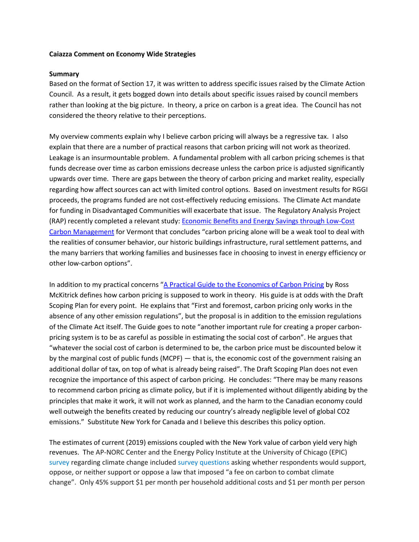### **Caiazza Comment on Economy Wide Strategies**

#### **Summary**

Based on the format of Section 17, it was written to address specific issues raised by the Climate Action Council. As a result, it gets bogged down into details about specific issues raised by council members rather than looking at the big picture. In theory, a price on carbon is a great idea. The Council has not considered the theory relative to their perceptions.

My overview comments explain why I believe carbon pricing will always be a regressive tax. I also explain that there are a number of practical reasons that carbon pricing will not work as theorized. Leakage is an insurmountable problem. A fundamental problem with all carbon pricing schemes is that funds decrease over time as carbon emissions decrease unless the carbon price is adjusted significantly upwards over time. There are gaps between the theory of carbon pricing and market reality, especially regarding how affect sources can act with limited control options. Based on investment results for RGGI proceeds, the programs funded are not cost-effectively reducing emissions. The Climate Act mandate for funding in Disadvantaged Communities will exacerbate that issue. The Regulatory Analysis Project (RAP) recently completed a relevant study: **Economic Benefits and Energy Savings through Low-Cost** [Carbon Management](https://ljfo.vermont.gov/assets/Uploads/a5e545b014/rap-carbon-management-VT-JFO-february-2019-updated.pdf) for Vermont that concludes "carbon pricing alone will be a weak tool to deal with the realities of consumer behavior, our historic buildings infrastructure, rural settlement patterns, and the many barriers that working families and businesses face in choosing to invest in energy efficiency or other low-carbon options".

In addition to my practical concerns "A Practical Guide to the [Economics of Carbon Pricing](https://www.policyschool.ca/wp-content/uploads/2016/09/Carbon-Pricing-McKitrickFINAL.pdf) by Ross McKitrick defines how carbon pricing is supposed to work in theory. His guide is at odds with the Draft Scoping Plan for every point. He explains that "First and foremost, carbon pricing only works in the absence of any other emission regulations", but the proposal is in addition to the emission regulations of the Climate Act itself. The Guide goes to note "another important rule for creating a proper carbonpricing system is to be as careful as possible in estimating the social cost of carbon". He argues that "whatever the social cost of carbon is determined to be, the carbon price must be discounted below it by the marginal cost of public funds (MCPF) — that is, the economic cost of the government raising an additional dollar of tax, on top of what is already being raised". The Draft Scoping Plan does not even recognize the importance of this aspect of carbon pricing. He concludes: "There may be many reasons to recommend carbon pricing as climate policy, but if it is implemented without diligently abiding by the principles that make it work, it will not work as planned, and the harm to the Canadian economy could well outweigh the benefits created by reducing our country's already negligible level of global CO2 emissions." Substitute New York for Canada and I believe this describes this policy option.

The estimates of current (2019) emissions coupled with the New York value of carbon yield very high revenues. The AP-NORC Center and the Energy Policy Institute at the University of Chicago (EPIC) [survey](https://apnorc.org/projects/where-do-americans-stand-on-climate-and-energy-policy/) regarding climate change included [survey questions](https://apnorc.org/wp-content/uploads/2021/10/8784-EPIC-Final-Topline-1.pdf) asking whether respondents would support, oppose, or neither support or oppose a law that imposed "a fee on carbon to combat climate change". Only 45% support \$1 per month per household additional costs and \$1 per month per person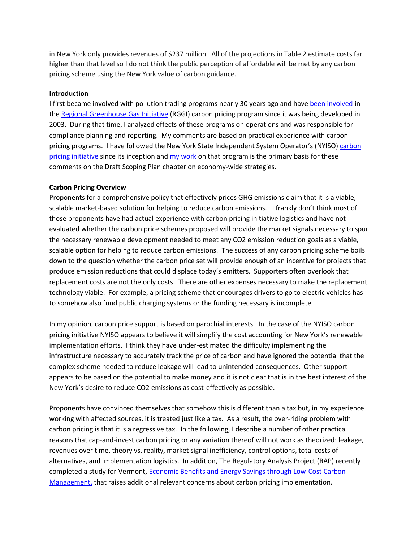in New York only provides revenues of \$237 million. All of the projections in Table 2 estimate costs far higher than that level so I do not think the public perception of affordable will be met by any carbon pricing scheme using the New York value of carbon guidance.

# **Introduction**

I first became involved with pollution trading programs nearly 30 years ago and have [been involved](https://wp.me/P8hgeb-45) in th[e Regional Greenhouse Gas Initiative](https://www.rggi.org/) (RGGI) carbon pricing program since it was being developed in 2003. During that time, I analyzed effects of these programs on operations and was responsible for compliance planning and reporting. My comments are based on practical experience with carbon pricing programs. I have followed the New York State Independent System Operator's (NYISO) carbon [pricing initiative](https://www.nyiso.com/carbonpricing) since its inception and my [work](https://wp.me/P8hgeb-5p) on that program is the primary basis for these comments on the Draft Scoping Plan chapter on economy-wide strategies.

# **Carbon Pricing Overview**

Proponents for a comprehensive policy that effectively prices GHG emissions claim that it is a viable, scalable market-based solution for helping to reduce carbon emissions. I frankly don't think most of those proponents have had actual experience with carbon pricing initiative logistics and have not evaluated whether the carbon price schemes proposed will provide the market signals necessary to spur the necessary renewable development needed to meet any CO2 emission reduction goals as a viable, scalable option for helping to reduce carbon emissions. The success of any carbon pricing scheme boils down to the question whether the carbon price set will provide enough of an incentive for projects that produce emission reductions that could displace today's emitters. Supporters often overlook that replacement costs are not the only costs. There are other expenses necessary to make the replacement technology viable. For example, a pricing scheme that encourages drivers to go to electric vehicles has to somehow also fund public charging systems or the funding necessary is incomplete.

In my opinion, carbon price support is based on parochial interests. In the case of the NYISO carbon pricing initiative NYISO appears to believe it will simplify the cost accounting for New York's renewable implementation efforts. I think they have under-estimated the difficulty implementing the infrastructure necessary to accurately track the price of carbon and have ignored the potential that the complex scheme needed to reduce leakage will lead to unintended consequences. Other support appears to be based on the potential to make money and it is not clear that is in the best interest of the New York's desire to reduce CO2 emissions as cost-effectively as possible.

Proponents have convinced themselves that somehow this is different than a tax but, in my experience working with affected sources, it is treated just like a tax. As a result, the over-riding problem with carbon pricing is that it is a regressive tax. In the following, I describe a number of other practical reasons that cap-and-invest carbon pricing or any variation thereof will not work as theorized: leakage, revenues over time, theory vs. reality, market signal inefficiency, control options, total costs of alternatives, and implementation logistics. In addition, The Regulatory Analysis Project (RAP) recently completed a study for Vermont, [Economic Benefits and Energy Savings through Low-Cost Carbon](https://ljfo.vermont.gov/assets/Uploads/a5e545b014/rap-carbon-management-VT-JFO-february-2019-updated.pdf)  [Management,](https://ljfo.vermont.gov/assets/Uploads/a5e545b014/rap-carbon-management-VT-JFO-february-2019-updated.pdf) that raises additional relevant concerns about carbon pricing implementation.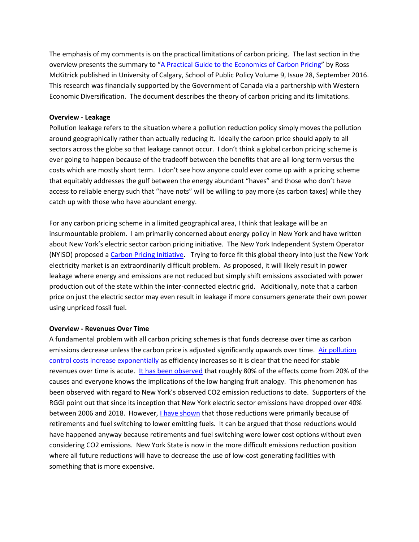The emphasis of my comments is on the practical limitations of carbon pricing. The last section in the overview presents the summary to "A Practical Guide to the [Economics of Carbon Pricing](https://www.policyschool.ca/wp-content/uploads/2016/09/Carbon-Pricing-McKitrickFINAL.pdf)" by Ross McKitrick published in University of Calgary, School of Public Policy Volume 9, Issue 28, September 2016. This research was financially supported by the Government of Canada via a partnership with Western Economic Diversification. The document describes the theory of carbon pricing and its limitations.

# **Overview - Leakage**

Pollution leakage refers to the situation where a pollution reduction policy simply moves the pollution around geographically rather than actually reducing it. Ideally the carbon price should apply to all sectors across the globe so that leakage cannot occur. I don't think a global carbon pricing scheme is ever going to happen because of the tradeoff between the benefits that are all long term versus the costs which are mostly short term. I don't see how anyone could ever come up with a pricing scheme that equitably addresses the gulf between the energy abundant "haves" and those who don't have access to reliable energy such that "have nots" will be willing to pay more (as carbon taxes) while they catch up with those who have abundant energy.

For any carbon pricing scheme in a limited geographical area, I think that leakage will be an insurmountable problem. I am primarily concerned about energy policy in New York and have written about New York's electric sector carbon pricing initiative. The New York Independent System Operator (NYISO) proposed a [Carbon Pricing Initiative](https://www.nyiso.com/carbonpricing?utm_source=Politico&utm_medium=NYENwsltrW4&utm_campaign=CarbonPricing)**.** Trying to force fit this global theory into just the New York electricity market is an extraordinarily difficult problem. As proposed, it will likely result in power leakage where energy and emissions are not reduced but simply shift emissions associated with power production out of the state within the inter-connected electric grid. Additionally, note that a carbon price on just the electric sector may even result in leakage if more consumers generate their own power using unpriced fossil fuel.

### **Overview - Revenues Over Time**

A fundamental problem with all carbon pricing schemes is that funds decrease over time as carbon emissions decrease unless the carbon price is adjusted significantly upwards over time. [Air pollution](https://wp.me/p8hgeb-b7)  [control costs increase exponentially](https://wp.me/p8hgeb-b7) as efficiency increases so it is clear that the need for stable revenues over time is acute. [It has been observed](https://www.investopedia.com/terms/1/80-20-rule.asp) that roughly 80% of the effects come from 20% of the causes and everyone knows the implications of the low hanging fruit analogy. This phenomenon has been observed with regard to New York's observed CO2 emission reductions to date. Supporters of the RGGI point out that since its inception that New York electric sector emissions have dropped over 40% between 2006 and 2018. However[, I have shown](https://wp.me/p8hgeb-fp) that those reductions were primarily because of retirements and fuel switching to lower emitting fuels. It can be argued that those reductions would have happened anyway because retirements and fuel switching were lower cost options without even considering CO2 emissions. New York State is now in the more difficult emissions reduction position where all future reductions will have to decrease the use of low-cost generating facilities with something that is more expensive.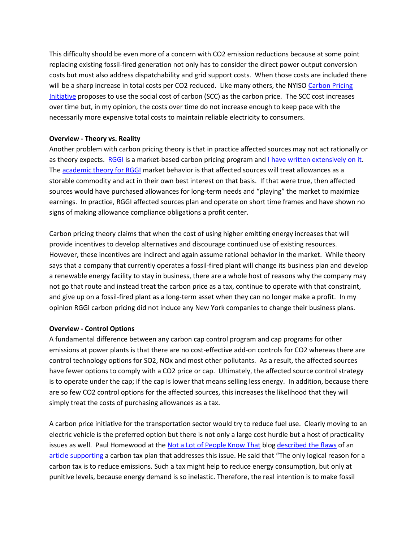This difficulty should be even more of a concern with CO2 emission reductions because at some point replacing existing fossil-fired generation not only has to consider the direct power output conversion costs but must also address dispatchability and grid support costs. When those costs are included there will be a sharp increase in total costs per CO2 reduced. Like many others, the NYISO Carbon Pricing [Initiative](https://www.nyiso.com/carbonpricing?utm_source=Politico&utm_medium=NYENwsltrW4&utm_campaign=CarbonPricing) proposes to use the social cost of carbon (SCC) as the carbon price. The SCC cost increases over time but, in my opinion, the costs over time do not increase enough to keep pace with the necessarily more expensive total costs to maintain reliable electricity to consumers.

# **Overview - Theory vs. Reality**

Another problem with carbon pricing theory is that in practice affected sources may not act rationally or as theory expects. [RGGI](https://www.rggi.org/) is a market-based carbon pricing program and [I have written extensively on it.](https://wp.me/P8hgeb-45) The [academic theory for RGGI](http://wp.me/p8hgeb-2n) market behavior is that affected sources will treat allowances as a storable commodity and act in their own best interest on that basis. If that were true, then affected sources would have purchased allowances for long-term needs and "playing" the market to maximize earnings. In practice, RGGI affected sources plan and operate on short time frames and have shown no signs of making allowance compliance obligations a profit center.

Carbon pricing theory claims that when the cost of using higher emitting energy increases that will provide incentives to develop alternatives and discourage continued use of existing resources. However, these incentives are indirect and again assume rational behavior in the market. While theory says that a company that currently operates a fossil-fired plant will change its business plan and develop a renewable energy facility to stay in business, there are a whole host of reasons why the company may not go that route and instead treat the carbon price as a tax, continue to operate with that constraint, and give up on a fossil-fired plant as a long-term asset when they can no longer make a profit. In my opinion RGGI carbon pricing did not induce any New York companies to change their business plans.

### **Overview - Control Options**

A fundamental difference between any carbon cap control program and cap programs for other emissions at power plants is that there are no cost-effective add-on controls for CO2 whereas there are control technology options for SO2, NOx and most other pollutants. As a result, the affected sources have fewer options to comply with a CO2 price or cap. Ultimately, the affected source control strategy is to operate under the cap; if the cap is lower that means selling less energy. In addition, because there are so few CO2 control options for the affected sources, this increases the likelihood that they will simply treat the costs of purchasing allowances as a tax.

A carbon price initiative for the transportation sector would try to reduce fuel use. Clearly moving to an electric vehicle is the preferred option but there is not only a large cost hurdle but a host of practicality issues as well. Paul Homewood at th[e Not a Lot of People Know That](https://notalotofpeopleknowthat.wordpress.com/) blog [described the flaws](https://notalotofpeopleknowthat.wordpress.com/2019/12/27/aeps-carbon-tax-fantasy/) of an [article supporting](https://web.archive.org/web/20191226182254/https:/www.telegraph.co.uk/business/2019/12/26/oven-ready-climate-change-plan-turns-heat-polluters/) a carbon tax plan that addresses this issue. He said that "The only logical reason for a carbon tax is to reduce emissions. Such a tax might help to reduce energy consumption, but only at punitive levels, because energy demand is so inelastic. Therefore, the real intention is to make fossil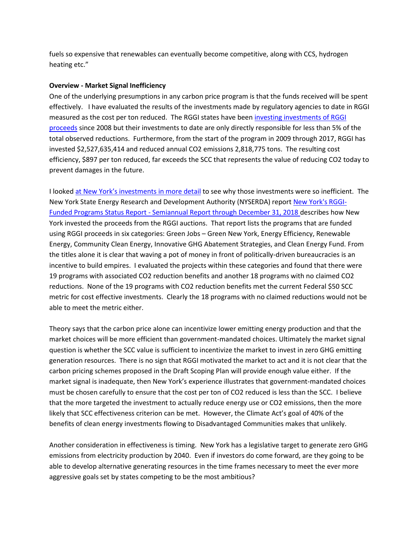fuels so expensive that renewables can eventually become competitive, along with CCS, hydrogen heating etc."

### **Overview - Market Signal Inefficiency**

One of the underlying presumptions in any carbon price program is that the funds received will be spent effectively. I have evaluated the results of the investments made by regulatory agencies to date in RGGI measured as the cost per ton reduced. The RGGI states have been [investing investments of RGGI](https://www.rggi.org/investments/proceeds-investments)  [proceeds](https://www.rggi.org/investments/proceeds-investments) since 2008 but their investments to date are only directly responsible for less than 5% of the total observed reductions. Furthermore, from the start of the program in 2009 through 2017, RGGI has invested \$2,527,635,414 and reduced annual CO2 emissions 2,818,775 tons. The resulting cost efficiency, \$897 per ton reduced, far exceeds the SCC that represents the value of reducing CO2 today to prevent damages in the future.

I looked [at New York's investm](https://wp.me/p8hgeb-iJ)ents in more detail to see why those investments were so inefficient. The New York State Energy Research and Development Authority (NYSERDA) repor[t New York's RGGI-](https://www.nyserda.ny.gov/-/media/Files/Publications/Energy-Analysis/RGGI/2018-RGGI-semiannual.pdf)Funded Programs Status Report - [Semiannual Report through December 31, 2018](https://www.nyserda.ny.gov/-/media/Files/Publications/Energy-Analysis/RGGI/2018-RGGI-semiannual.pdf) describes how New York invested the proceeds from the RGGI auctions. That report lists the programs that are funded using RGGI proceeds in six categories: Green Jobs – Green New York, Energy Efficiency, Renewable Energy, Community Clean Energy, Innovative GHG Abatement Strategies, and Clean Energy Fund. From the titles alone it is clear that waving a pot of money in front of politically-driven bureaucracies is an incentive to build empires. I evaluated the projects within these categories and found that there were 19 programs with associated CO2 reduction benefits and another 18 programs with no claimed CO2 reductions. None of the 19 programs with CO2 reduction benefits met the current Federal \$50 SCC metric for cost effective investments. Clearly the 18 programs with no claimed reductions would not be able to meet the metric either.

Theory says that the carbon price alone can incentivize lower emitting energy production and that the market choices will be more efficient than government-mandated choices. Ultimately the market signal question is whether the SCC value is sufficient to incentivize the market to invest in zero GHG emitting generation resources. There is no sign that RGGI motivated the market to act and it is not clear that the carbon pricing schemes proposed in the Draft Scoping Plan will provide enough value either. If the market signal is inadequate, then New York's experience illustrates that government-mandated choices must be chosen carefully to ensure that the cost per ton of CO2 reduced is less than the SCC. I believe that the more targeted the investment to actually reduce energy use or CO2 emissions, then the more likely that SCC effectiveness criterion can be met. However, the Climate Act's goal of 40% of the benefits of clean energy investments flowing to Disadvantaged Communities makes that unlikely.

Another consideration in effectiveness is timing. New York has a legislative target to generate zero GHG emissions from electricity production by 2040. Even if investors do come forward, are they going to be able to develop alternative generating resources in the time frames necessary to meet the ever more aggressive goals set by states competing to be the most ambitious?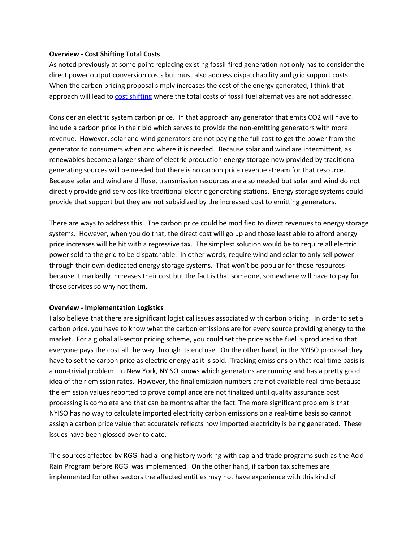# **Overview - Cost Shifting Total Costs**

As noted previously at some point replacing existing fossil-fired generation not only has to consider the direct power output conversion costs but must also address dispatchability and grid support costs. When the carbon pricing proposal simply increases the cost of the energy generated, I think that approach will lead to [cost shifting](http://www.windtaskforce.org/profiles/blogs/comparison-of-ne-vt-hydro-quebec-electricity-and-co2) where the total costs of fossil fuel alternatives are not addressed.

Consider an electric system carbon price. In that approach any generator that emits CO2 will have to include a carbon price in their bid which serves to provide the non-emitting generators with more revenue. However, solar and wind generators are not paying the full cost to get the power from the generator to consumers when and where it is needed. Because solar and wind are intermittent, as renewables become a larger share of electric production energy storage now provided by traditional generating sources will be needed but there is no carbon price revenue stream for that resource. Because solar and wind are diffuse, transmission resources are also needed but solar and wind do not directly provide grid services like traditional electric generating stations. Energy storage systems could provide that support but they are not subsidized by the increased cost to emitting generators.

There are ways to address this. The carbon price could be modified to direct revenues to energy storage systems. However, when you do that, the direct cost will go up and those least able to afford energy price increases will be hit with a regressive tax. The simplest solution would be to require all electric power sold to the grid to be dispatchable. In other words, require wind and solar to only sell power through their own dedicated energy storage systems. That won't be popular for those resources because it markedly increases their cost but the fact is that someone, somewhere will have to pay for those services so why not them.

### **Overview - Implementation Logistics**

I also believe that there are significant logistical issues associated with carbon pricing. In order to set a carbon price, you have to know what the carbon emissions are for every source providing energy to the market. For a global all-sector pricing scheme, you could set the price as the fuel is produced so that everyone pays the cost all the way through its end use. On the other hand, in the NYISO proposal they have to set the carbon price as electric energy as it is sold. Tracking emissions on that real-time basis is a non-trivial problem. In New York, NYISO knows which generators are running and has a pretty good idea of their emission rates. However, the final emission numbers are not available real-time because the emission values reported to prove compliance are not finalized until quality assurance post processing is complete and that can be months after the fact. The more significant problem is that NYISO has no way to calculate imported electricity carbon emissions on a real-time basis so cannot assign a carbon price value that accurately reflects how imported electricity is being generated. These issues have been glossed over to date.

The sources affected by RGGI had a long history working with cap-and-trade programs such as the Acid Rain Program before RGGI was implemented. On the other hand, if carbon tax schemes are implemented for other sectors the affected entities may not have experience with this kind of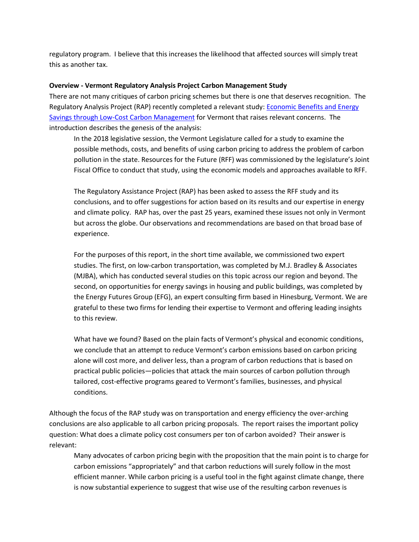regulatory program. I believe that this increases the likelihood that affected sources will simply treat this as another tax.

# **Overview - Vermont Regulatory Analysis Project Carbon Management Study**

There are not many critiques of carbon pricing schemes but there is one that deserves recognition. The Regulatory Analysis Project (RAP) recently completed a relevant study[: Economic Benefits and Energy](https://ljfo.vermont.gov/assets/Uploads/a5e545b014/rap-carbon-management-VT-JFO-february-2019-updated.pdf)  [Savings through Low-Cost Carbon Management](https://ljfo.vermont.gov/assets/Uploads/a5e545b014/rap-carbon-management-VT-JFO-february-2019-updated.pdf) for Vermont that raises relevant concerns. The introduction describes the genesis of the analysis:

In the 2018 legislative session, the Vermont Legislature called for a study to examine the possible methods, costs, and benefits of using carbon pricing to address the problem of carbon pollution in the state. Resources for the Future (RFF) was commissioned by the legislature's Joint Fiscal Office to conduct that study, using the economic models and approaches available to RFF.

The Regulatory Assistance Project (RAP) has been asked to assess the RFF study and its conclusions, and to offer suggestions for action based on its results and our expertise in energy and climate policy. RAP has, over the past 25 years, examined these issues not only in Vermont but across the globe. Our observations and recommendations are based on that broad base of experience.

For the purposes of this report, in the short time available, we commissioned two expert studies. The first, on low-carbon transportation, was completed by M.J. Bradley & Associates (MJBA), which has conducted several studies on this topic across our region and beyond. The second, on opportunities for energy savings in housing and public buildings, was completed by the Energy Futures Group (EFG), an expert consulting firm based in Hinesburg, Vermont. We are grateful to these two firms for lending their expertise to Vermont and offering leading insights to this review.

What have we found? Based on the plain facts of Vermont's physical and economic conditions, we conclude that an attempt to reduce Vermont's carbon emissions based on carbon pricing alone will cost more, and deliver less, than a program of carbon reductions that is based on practical public policies—policies that attack the main sources of carbon pollution through tailored, cost-effective programs geared to Vermont's families, businesses, and physical conditions.

Although the focus of the RAP study was on transportation and energy efficiency the over-arching conclusions are also applicable to all carbon pricing proposals. The report raises the important policy question: What does a climate policy cost consumers per ton of carbon avoided? Their answer is relevant:

Many advocates of carbon pricing begin with the proposition that the main point is to charge for carbon emissions "appropriately" and that carbon reductions will surely follow in the most efficient manner. While carbon pricing is a useful tool in the fight against climate change, there is now substantial experience to suggest that wise use of the resulting carbon revenues is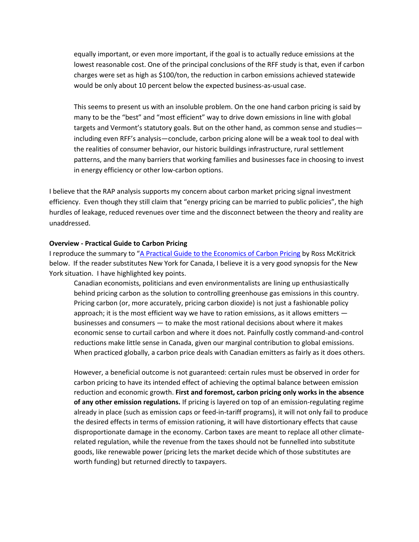equally important, or even more important, if the goal is to actually reduce emissions at the lowest reasonable cost. One of the principal conclusions of the RFF study is that, even if carbon charges were set as high as \$100/ton, the reduction in carbon emissions achieved statewide would be only about 10 percent below the expected business-as-usual case.

This seems to present us with an insoluble problem. On the one hand carbon pricing is said by many to be the "best" and "most efficient" way to drive down emissions in line with global targets and Vermont's statutory goals. But on the other hand, as common sense and studies including even RFF's analysis—conclude, carbon pricing alone will be a weak tool to deal with the realities of consumer behavior, our historic buildings infrastructure, rural settlement patterns, and the many barriers that working families and businesses face in choosing to invest in energy efficiency or other low-carbon options.

I believe that the RAP analysis supports my concern about carbon market pricing signal investment efficiency. Even though they still claim that "energy pricing can be married to public policies", the high hurdles of leakage, reduced revenues over time and the disconnect between the theory and reality are unaddressed.

#### **Overview - Practical Guide to Carbon Pricing**

I reproduce the summary to "A Practical Guide to the [Economics of Carbon Pricing](https://www.policyschool.ca/wp-content/uploads/2016/09/Carbon-Pricing-McKitrickFINAL.pdf) by Ross McKitrick below. If the reader substitutes New York for Canada, I believe it is a very good synopsis for the New York situation. I have highlighted key points.

Canadian economists, politicians and even environmentalists are lining up enthusiastically behind pricing carbon as the solution to controlling greenhouse gas emissions in this country. Pricing carbon (or, more accurately, pricing carbon dioxide) is not just a fashionable policy approach; it is the most efficient way we have to ration emissions, as it allows emitters  $$ businesses and consumers — to make the most rational decisions about where it makes economic sense to curtail carbon and where it does not. Painfully costly command-and-control reductions make little sense in Canada, given our marginal contribution to global emissions. When practiced globally, a carbon price deals with Canadian emitters as fairly as it does others.

However, a beneficial outcome is not guaranteed: certain rules must be observed in order for carbon pricing to have its intended effect of achieving the optimal balance between emission reduction and economic growth. **First and foremost, carbon pricing only works in the absence of any other emission regulations.** If pricing is layered on top of an emission-regulating regime already in place (such as emission caps or feed-in-tariff programs), it will not only fail to produce the desired effects in terms of emission rationing, it will have distortionary effects that cause disproportionate damage in the economy. Carbon taxes are meant to replace all other climaterelated regulation, while the revenue from the taxes should not be funnelled into substitute goods, like renewable power (pricing lets the market decide which of those substitutes are worth funding) but returned directly to taxpayers.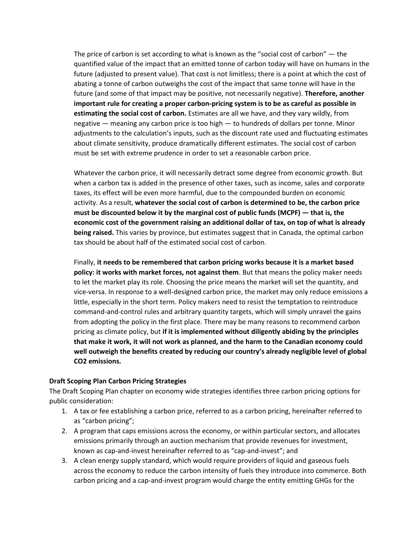The price of carbon is set according to what is known as the "social cost of carbon" — the quantified value of the impact that an emitted tonne of carbon today will have on humans in the future (adjusted to present value). That cost is not limitless; there is a point at which the cost of abating a tonne of carbon outweighs the cost of the impact that same tonne will have in the future (and some of that impact may be positive, not necessarily negative). **Therefore, another important rule for creating a proper carbon-pricing system is to be as careful as possible in estimating the social cost of carbon.** Estimates are all we have, and they vary wildly, from negative — meaning any carbon price is too high — to hundreds of dollars per tonne. Minor adjustments to the calculation's inputs, such as the discount rate used and fluctuating estimates about climate sensitivity, produce dramatically different estimates. The social cost of carbon must be set with extreme prudence in order to set a reasonable carbon price.

Whatever the carbon price, it will necessarily detract some degree from economic growth. But when a carbon tax is added in the presence of other taxes, such as income, sales and corporate taxes, its effect will be even more harmful, due to the compounded burden on economic activity. As a result, **whatever the social cost of carbon is determined to be, the carbon price must be discounted below it by the marginal cost of public funds (MCPF) — that is, the economic cost of the government raising an additional dollar of tax, on top of what is already being raised.** This varies by province, but estimates suggest that in Canada, the optimal carbon tax should be about half of the estimated social cost of carbon.

Finally, **it needs to be remembered that carbon pricing works because it is a market based policy: it works with market forces, not against them**. But that means the policy maker needs to let the market play its role. Choosing the price means the market will set the quantity, and vice-versa. In response to a well-designed carbon price, the market may only reduce emissions a little, especially in the short term. Policy makers need to resist the temptation to reintroduce command-and-control rules and arbitrary quantity targets, which will simply unravel the gains from adopting the policy in the first place. There may be many reasons to recommend carbon pricing as climate policy, but **if it is implemented without diligently abiding by the principles that make it work, it will not work as planned, and the harm to the Canadian economy could well outweigh the benefits created by reducing our country's already negligible level of global CO2 emissions.**

# **Draft Scoping Plan Carbon Pricing Strategies**

The Draft Scoping Plan chapter on economy wide strategies identifies three carbon pricing options for public consideration:

- 1. A tax or fee establishing a carbon price, referred to as a carbon pricing, hereinafter referred to as "carbon pricing";
- 2. A program that caps emissions across the economy, or within particular sectors, and allocates emissions primarily through an auction mechanism that provide revenues for investment, known as cap-and-invest hereinafter referred to as "cap-and-invest"; and
- 3. A clean energy supply standard, which would require providers of liquid and gaseous fuels across the economy to reduce the carbon intensity of fuels they introduce into commerce. Both carbon pricing and a cap-and-invest program would charge the entity emitting GHGs for the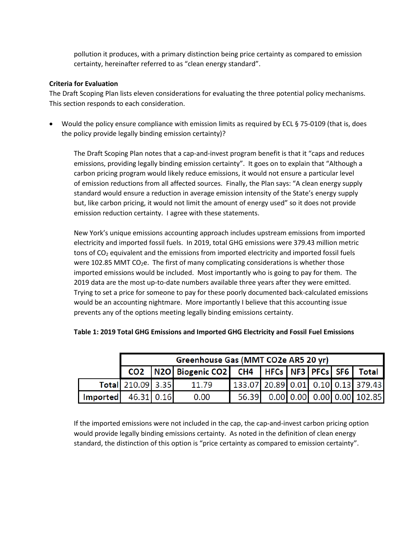pollution it produces, with a primary distinction being price certainty as compared to emission certainty, hereinafter referred to as "clean energy standard".

# **Criteria for Evaluation**

The Draft Scoping Plan lists eleven considerations for evaluating the three potential policy mechanisms. This section responds to each consideration.

• Would the policy ensure compliance with emission limits as required by ECL § 75-0109 (that is, does the policy provide legally binding emission certainty)?

The Draft Scoping Plan notes that a cap-and-invest program benefit is that it "caps and reduces emissions, providing legally binding emission certainty". It goes on to explain that "Although a carbon pricing program would likely reduce emissions, it would not ensure a particular level of emission reductions from all affected sources. Finally, the Plan says: "A clean energy supply standard would ensure a reduction in average emission intensity of the State's energy supply but, like carbon pricing, it would not limit the amount of energy used" so it does not provide emission reduction certainty. I agree with these statements.

New York's unique emissions accounting approach includes upstream emissions from imported electricity and imported fossil fuels. In 2019, total GHG emissions were 379.43 million metric tons of  $CO<sub>2</sub>$  equivalent and the emissions from imported electricity and imported fossil fuels were 102.85 MMT CO<sub>2</sub>e. The first of many complicating considerations is whether those imported emissions would be included. Most importantly who is going to pay for them. The 2019 data are the most up-to-date numbers available three years after they were emitted. Trying to set a price for someone to pay for these poorly documented back-calculated emissions would be an accounting nightmare. More importantly I believe that this accounting issue prevents any of the options meeting legally binding emissions certainty.

|                 |                   | Greenhouse Gas (MMT CO2e AR5 20 yr)                              |                                    |  |  |                                  |
|-----------------|-------------------|------------------------------------------------------------------|------------------------------------|--|--|----------------------------------|
|                 |                   | CO2   N2O   Biogenic CO2   CH4   HFCs   NF3   PFCs   SF6   Total |                                    |  |  |                                  |
|                 | Total 210.09 3.35 | 11.79                                                            | 133.07 20.89 0.01 0.10 0.13 379.43 |  |  |                                  |
| <b>Imported</b> | 46.31 0.16        | 0.00                                                             |                                    |  |  | 56.39 0.00 0.00 0.00 0.00 102.85 |

# **Table 1: 2019 Total GHG Emissions and Imported GHG Electricity and Fossil Fuel Emissions**

If the imported emissions were not included in the cap, the cap-and-invest carbon pricing option would provide legally binding emissions certainty. As noted in the definition of clean energy standard, the distinction of this option is "price certainty as compared to emission certainty".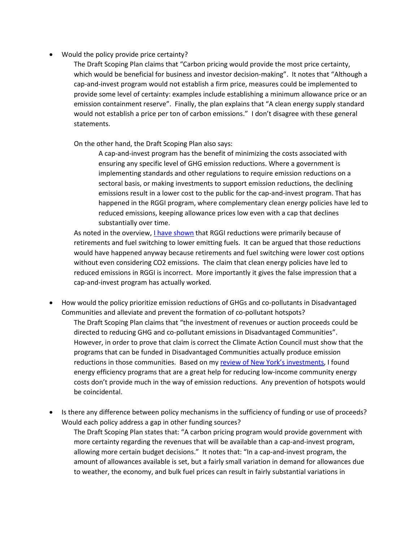• Would the policy provide price certainty?

The Draft Scoping Plan claims that "Carbon pricing would provide the most price certainty, which would be beneficial for business and investor decision-making". It notes that "Although a cap-and-invest program would not establish a firm price, measures could be implemented to provide some level of certainty: examples include establishing a minimum allowance price or an emission containment reserve". Finally, the plan explains that "A clean energy supply standard would not establish a price per ton of carbon emissions." I don't disagree with these general statements.

On the other hand, the Draft Scoping Plan also says:

A cap-and-invest program has the benefit of minimizing the costs associated with ensuring any specific level of GHG emission reductions. Where a government is implementing standards and other regulations to require emission reductions on a sectoral basis, or making investments to support emission reductions, the declining emissions result in a lower cost to the public for the cap-and-invest program. That has happened in the RGGI program, where complementary clean energy policies have led to reduced emissions, keeping allowance prices low even with a cap that declines substantially over time.

As noted in the overview, [I have shown](https://wp.me/p8hgeb-fp) that RGGI reductions were primarily because of retirements and fuel switching to lower emitting fuels. It can be argued that those reductions would have happened anyway because retirements and fuel switching were lower cost options without even considering CO2 emissions. The claim that clean energy policies have led to reduced emissions in RGGI is incorrect. More importantly it gives the false impression that a cap-and-invest program has actually worked.

- How would the policy prioritize emission reductions of GHGs and co-pollutants in Disadvantaged Communities and alleviate and prevent the formation of co-pollutant hotspots? The Draft Scoping Plan claims that "the investment of revenues or auction proceeds could be directed to reducing GHG and co-pollutant emissions in Disadvantaged Communities". However, in order to prove that claim is correct the Climate Action Council must show that the programs that can be funded in Disadvantaged Communities actually produce emission reductions in those communities. Based on my [review of New York](https://wp.me/p8hgeb-iJ)'s investments, I found energy efficiency programs that are a great help for reducing low-income community energy costs don't provide much in the way of emission reductions. Any prevention of hotspots would be coincidental.
- Is there any difference between policy mechanisms in the sufficiency of funding or use of proceeds? Would each policy address a gap in other funding sources?

The Draft Scoping Plan states that: "A carbon pricing program would provide government with more certainty regarding the revenues that will be available than a cap-and-invest program, allowing more certain budget decisions." It notes that: "In a cap-and-invest program, the amount of allowances available is set, but a fairly small variation in demand for allowances due to weather, the economy, and bulk fuel prices can result in fairly substantial variations in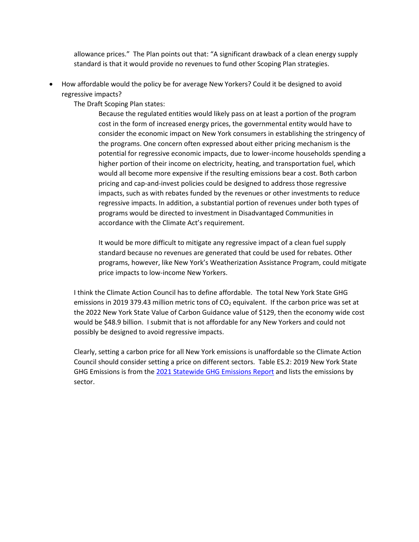allowance prices." The Plan points out that: "A significant drawback of a clean energy supply standard is that it would provide no revenues to fund other Scoping Plan strategies.

• How affordable would the policy be for average New Yorkers? Could it be designed to avoid regressive impacts?

The Draft Scoping Plan states:

Because the regulated entities would likely pass on at least a portion of the program cost in the form of increased energy prices, the governmental entity would have to consider the economic impact on New York consumers in establishing the stringency of the programs. One concern often expressed about either pricing mechanism is the potential for regressive economic impacts, due to lower-income households spending a higher portion of their income on electricity, heating, and transportation fuel, which would all become more expensive if the resulting emissions bear a cost. Both carbon pricing and cap-and-invest policies could be designed to address those regressive impacts, such as with rebates funded by the revenues or other investments to reduce regressive impacts. In addition, a substantial portion of revenues under both types of programs would be directed to investment in Disadvantaged Communities in accordance with the Climate Act's requirement.

It would be more difficult to mitigate any regressive impact of a clean fuel supply standard because no revenues are generated that could be used for rebates. Other programs, however, like New York's Weatherization Assistance Program, could mitigate price impacts to low-income New Yorkers.

I think the Climate Action Council has to define affordable. The total New York State GHG emissions in 2019 379.43 million metric tons of  $CO<sub>2</sub>$  equivalent. If the carbon price was set at the 2022 New York State Value of Carbon Guidance value of \$129, then the economy wide cost would be \$48.9 billion. I submit that is not affordable for any New Yorkers and could not possibly be designed to avoid regressive impacts.

Clearly, setting a carbon price for all New York emissions is unaffordable so the Climate Action Council should consider setting a price on different sectors. Table ES.2: 2019 New York State GHG Emissions is from th[e 2021 Statewide GHG Emissions Report](https://www.dec.ny.gov/docs/administration_pdf/ghgsumrpt21.pdf) and lists the emissions by sector.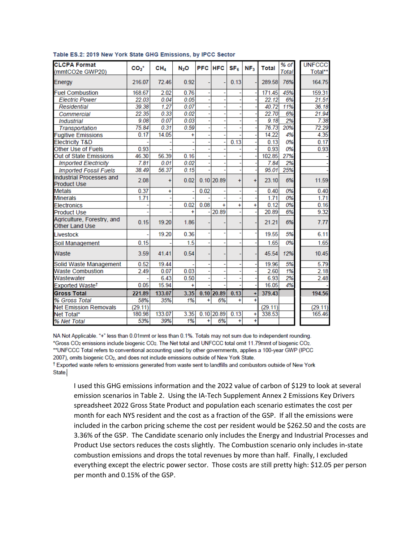| <b>CLCPA Format</b><br>(mmtCO2e GWP20)                | $CO2*$  | CH <sub>4</sub> | $N_2O$    | PFC       | <b>HFC</b>   | SF <sub>6</sub> | NF <sub>3</sub> | <b>Total</b> | $%$ of<br><b>Total</b> | <b>UNFCCC</b><br>Total** |
|-------------------------------------------------------|---------|-----------------|-----------|-----------|--------------|-----------------|-----------------|--------------|------------------------|--------------------------|
| Energy                                                | 216.07  | 72.46           | 0.92      |           |              | 0.13            |                 | 289.58       | 76%                    | 164.75                   |
| <b>Fuel Combustion</b>                                | 168.67  | 2.02            | 0.76      |           |              |                 |                 | 171.45       | 45%                    | 159.31                   |
| <b>Electric Power</b>                                 | 22.03   | 0.04            | 0.05      |           |              |                 |                 | 22.12        | 6%                     | 21.51                    |
| Residential                                           | 39.38   | 1.27            | 0.07      |           |              |                 |                 | 40.72        | 11%                    | 36.18                    |
| Commercial                                            | 22.35   | 0.33            | 0.02      |           |              |                 |                 | 22.70        | 6%                     | 21.94                    |
| <b>Industrial</b>                                     | 9.08    | 0.07            | 0.03      |           |              |                 |                 | 9.18         | 2%                     | 7.38                     |
| Transportation                                        | 75.84   | 0.31            | 0.59      |           |              |                 |                 | 76.73        | 20%                    | 72.29                    |
| <b>Fugitive Emissions</b>                             | 0.17    | 14.05           | ×         |           |              |                 |                 | 14.22        | 4%                     | 4.35                     |
| <b>Electricity T&amp;D</b>                            |         |                 |           |           |              | 0.13            |                 | 0.13         | 0%                     | 0.17                     |
| Other Use of Fuels                                    | 0.93    |                 |           |           |              |                 |                 | 0.93         | 0%                     | 0.93                     |
| Out of State Emissions                                | 46.30   | 56.39           | 0.16      |           |              |                 |                 | 102.85       | 27%                    |                          |
| <b>Imported Electricity</b>                           | 7.81    | 0.01            | 0.02      |           |              |                 |                 | 7.84         | 2%                     |                          |
| <b>Imported Fossil Fuels</b>                          | 38.49   | 56.37           | 0.15      |           |              |                 |                 | 95.01        | 25%                    |                          |
| <b>Industrial Processes and</b><br><b>Product Use</b> | 2.08    | $\ddot{}$       | 0.02      |           | $0.10$ 20.89 | $+$             | $\ddot{}$       | 23.10        | 6%                     | 11.59                    |
| <b>Metals</b>                                         | 0.37    | Ŧ               |           | 0.02      |              |                 |                 | 0.40         | 0%                     | 0.40                     |
| <b>Minerals</b>                                       | 1.71    |                 |           |           |              |                 |                 | 1.71         | 0%                     | 1.71                     |
| <b>Electronics</b>                                    |         |                 | 0.02      | 0.08      | $\ddot{}$    | $\ddot{}$       |                 | 0.12         | 0%                     | 0.16                     |
| <b>Product Use</b>                                    |         |                 |           |           | 20.89        |                 |                 | 20.89        | 6%                     | 9.32                     |
| Agriculture, Forestry, and<br><b>Other Land Use</b>   | 0.15    | 19.20           | 1.86      |           |              |                 |                 | 21.21        | 6%                     | 7.77                     |
| Livestock                                             |         | 19.20           | 0.36      |           |              |                 |                 | 19.55        | 5%                     | 6.11                     |
| Soil Management                                       | 0.15    |                 | 1.5       |           |              |                 |                 | 1.65         | 0%                     | 1.65                     |
| Waste                                                 | 3.59    | 41.41           | 0.54      |           |              |                 |                 | 45.54        | 12%                    | 10.45                    |
| Solid Waste Management                                | 0.52    | 19.44           |           |           |              |                 |                 | 19.96        | 5%                     | 5.79                     |
| <b>Waste Combustion</b>                               | 2.49    | 0.07            | 0.03      |           |              |                 |                 | 2.60         | 1%                     | 2.18                     |
| Wastewater                                            |         | 6.43            | 0.50      |           |              |                 |                 | 6.93         | 2%                     | 2.48                     |
| Exported Waste <sup>†</sup>                           | 0.05    | 15.94           | $\ddot{}$ |           |              |                 |                 | 16.05        | 4%                     |                          |
| <b>Gross Total</b>                                    | 221.89  | 133.07          | 3.35      |           | $0.10$ 20.89 | 0.13            | ٠I              | 379.43       |                        | 194.56                   |
| % Gross Total                                         | 58%     | 35%             | 1%        | Ŧ         | 6%           | Ŧ               | Ŧ               |              |                        |                          |
| <b>Net Emission Removals</b>                          | (29.11) |                 |           |           |              |                 |                 | (29.11)      |                        | (29.11)                  |
| Net Total*                                            | 180.98  | 133.07          | 3.35      |           | $0.10$ 20.89 | 0.13            | $\ddot{}$       | 338.53       |                        | 165.46                   |
| % Net Total                                           | 53%     | 39%             | 1%        | $\ddot{}$ | 6%           | ÷               | Ŧ               |              |                        |                          |

#### Table ES.2: 2019 New York State GHG Emissions, by IPCC Sector

NA Not Applicable. "+" less than 0.01mmt or less than 0.1%. Totals may not sum due to independent rounding. \*Gross CO2 emissions include biogenic CO2. The Net total and UNFCCC total omit 11.79mmt of biogenic CO2. \*\* UNFCCC Total refers to conventional accounting used by other governments, applies a 100-year GWP (IPCC 2007), omits biogenic CO<sub>2</sub>, and does not include emissions outside of New York State.

<sup>†</sup> Exported waste refers to emissions generated from waste sent to landfills and combustors outside of New York State.

I used this GHG emissions information and the 2022 value of carbon of \$129 to look at several emission scenarios in Table 2. Using the IA-Tech Supplement Annex 2 Emissions Key Drivers spreadsheet 2022 Gross State Product and population each scenario estimates the cost per month for each NYS resident and the cost as a fraction of the GSP. If all the emissions were included in the carbon pricing scheme the cost per resident would be \$262.50 and the costs are 3.36% of the GSP. The Candidate scenario only includes the Energy and Industrial Processes and Product Use sectors reduces the costs slightly. The Combustion scenario only includes in-state combustion emissions and drops the total revenues by more than half. Finally, I excluded everything except the electric power sector. Those costs are still pretty high: \$12.05 per person per month and 0.15% of the GSP.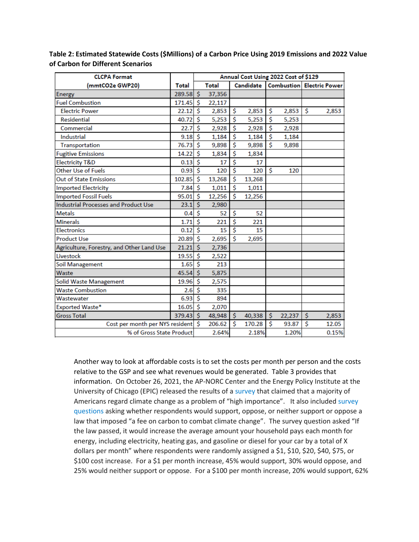| <b>CLCPA Format</b>                         |             | Annual Cost Using 2022 Cost of \$129 |              |           |        |              |                                  |    |       |
|---------------------------------------------|-------------|--------------------------------------|--------------|-----------|--------|--------------|----------------------------------|----|-------|
| (mmtCO2e GWP20)                             | Total       |                                      | <b>Total</b> | Candidate |        |              | <b>Combustion Electric Power</b> |    |       |
| <b>Energy</b>                               | $289.58$ \$ |                                      | 37,356       |           |        |              |                                  |    |       |
| <b>Fuel Combustion</b>                      | 171.45      | Ŝ                                    | 22,117       |           |        |              |                                  |    |       |
| <b>Electric Power</b>                       | 22.12       | Ś                                    | 2,853        | \$        | 2,853  | Ŝ.           | 2,853                            | Ŝ. | 2,853 |
| <b>Residential</b>                          | 40.72       | Ś                                    | 5,253        | \$        | 5,253  | Ŝ            | 5,253                            |    |       |
| Commercial                                  | 22.7        | \$                                   | 2,928        | \$        | 2,928  | \$           | 2,928                            |    |       |
| Industrial                                  | 9.18        | Ś                                    | 1,184        | \$        | 1,184  | \$           | 1,184                            |    |       |
| Transportation                              | 76.73       | Ś                                    | 9,898        | \$        | 9,898  | Ś            | 9,898                            |    |       |
| <b>Fugitive Emissions</b>                   | 14.22       | Ś                                    | 1,834        | \$        | 1,834  |              |                                  |    |       |
| <b>Electricity T&amp;D</b>                  | 0.13        | \$                                   | 17           | \$        | 17     |              |                                  |    |       |
| Other Use of Fuels                          | 0.93        | Ś                                    | 120          | \$        | 120    | \$           | 120                              |    |       |
| Out of State Emissions                      | 102.85      | Ś                                    | 13,268       | \$        | 13,268 |              |                                  |    |       |
| <b>Imported Electricity</b>                 | 7.84        | Ś                                    | 1,011        | \$        | 1,011  |              |                                  |    |       |
| <b>Imported Fossil Fuels</b>                | 95.01       | Ś                                    | 12,256       | \$        | 12,256 |              |                                  |    |       |
| <b>Industrial Processes and Product Use</b> | 23.1        | $\overline{\mathsf{s}}$              | 2,980        |           |        |              |                                  |    |       |
| <b>Metals</b>                               | 0.4         | \$                                   | 52           | \$        | 52     |              |                                  |    |       |
| <b>Minerals</b>                             | 1.71        | Ś                                    | 221          | \$        | 221    |              |                                  |    |       |
| <b>Electronics</b>                          | 0.12        | Ŝ                                    | 15           | Ś         | 15     |              |                                  |    |       |
| <b>Product Use</b>                          | 20.89       | Ś                                    | 2,695        | Ś         | 2,695  |              |                                  |    |       |
| Agriculture, Forestry, and Other Land Use   | 21.21       | \$                                   | 2,736        |           |        |              |                                  |    |       |
| Livestock                                   | 19.55       | \$                                   | 2,522        |           |        |              |                                  |    |       |
| Soil Management                             | 1.65        | Ś                                    | 213          |           |        |              |                                  |    |       |
| Waste                                       | 45.54       | Ś                                    | 5,875        |           |        |              |                                  |    |       |
| Solid Waste Management                      | 19.96       | \$                                   | 2,575        |           |        |              |                                  |    |       |
| <b>Waste Combustion</b>                     | 2.6         | Ś                                    | 335          |           |        |              |                                  |    |       |
| Wastewater                                  | 6.93        | $\overline{\mathsf{s}}$              | 894          |           |        |              |                                  |    |       |
| Exported Waste*                             | 16.05       | Ś                                    | 2,070        |           |        |              |                                  |    |       |
| <b>Gross Total</b>                          | 379.43      | $\dot{\mathsf{S}}$                   | 48,948       | \$        | 40,338 | $\mathsf{S}$ | 22,237                           | \$ | 2,853 |
| Cost per month per NYS resident             |             | Ŝ                                    | 206.62       | Ś         | 170.28 | Ŝ            | 93.87                            | Ś  | 12.05 |
| % of Gross State Product                    |             |                                      | 2.64%        |           | 2.18%  |              | 1.20%                            |    | 0.15% |

**Table 2: Estimated Statewide Costs (\$Millions) of a Carbon Price Using 2019 Emissions and 2022 Value of Carbon for Different Scenarios**

Another way to look at affordable costs is to set the costs per month per person and the costs relative to the GSP and see what revenues would be generated. Table 3 provides that information. On October 26, 2021, the AP-NORC Center and the Energy Policy Institute at the University of Chicago (EPIC) released the results of a [survey](https://apnorc.org/projects/where-do-americans-stand-on-climate-and-energy-policy/) that claimed that a majority of Americans regard climate change as a problem of "high importance". It also included [survey](https://apnorc.org/wp-content/uploads/2021/10/8784-EPIC-Final-Topline-1.pdf)  [questions](https://apnorc.org/wp-content/uploads/2021/10/8784-EPIC-Final-Topline-1.pdf) asking whether respondents would support, oppose, or neither support or oppose a law that imposed "a fee on carbon to combat climate change". The survey question asked "If the law passed, it would increase the average amount your household pays each month for energy, including electricity, heating gas, and gasoline or diesel for your car by a total of X dollars per month" where respondents were randomly assigned a \$1, \$10, \$20, \$40, \$75, or \$100 cost increase. For a \$1 per month increase, 45% would support, 30% would oppose, and 25% would neither support or oppose. For a \$100 per month increase, 20% would support, 62%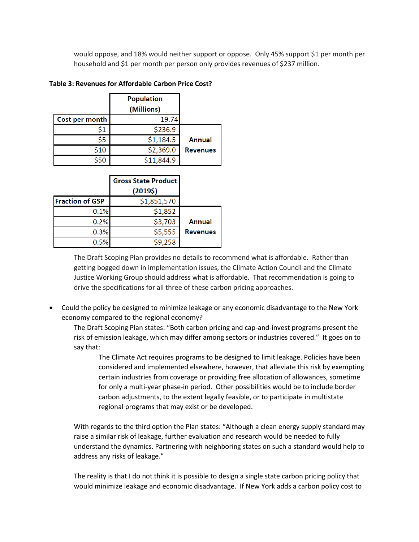would oppose, and 18% would neither support or oppose. Only 45% support \$1 per month per household and \$1 per month per person only provides revenues of \$237 million.

|                | <b>Population</b><br>(Millions) |                 |
|----------------|---------------------------------|-----------------|
| Cost per month | 19.74                           |                 |
| \$1            | \$236.9                         |                 |
| \$5            | \$1,184.5                       | Annual          |
| \$10           | \$2,369.0                       | <b>Revenues</b> |
| \$50           | \$11,844.9                      |                 |

# **Table 3: Revenues for Affordable Carbon Price Cost?**

|                 | <b>Gross State Product</b> |                        |
|-----------------|----------------------------|------------------------|
|                 | (20195)                    |                        |
|                 | \$1,851,570                | <b>Fraction of GSP</b> |
|                 | \$1,852                    | 0.1%                   |
| Annual          | \$3,703                    | 0.2%                   |
| <b>Revenues</b> | \$5,555                    | 0.3%                   |
|                 | \$9,258                    | 0.5%                   |

The Draft Scoping Plan provides no details to recommend what is affordable. Rather than getting bogged down in implementation issues, the Climate Action Council and the Climate Justice Working Group should address what is affordable. That recommendation is going to drive the specifications for all three of these carbon pricing approaches.

• Could the policy be designed to minimize leakage or any economic disadvantage to the New York economy compared to the regional economy?

The Draft Scoping Plan states: "Both carbon pricing and cap-and-invest programs present the risk of emission leakage, which may differ among sectors or industries covered." It goes on to say that:

The Climate Act requires programs to be designed to limit leakage. Policies have been considered and implemented elsewhere, however, that alleviate this risk by exempting certain industries from coverage or providing free allocation of allowances, sometime for only a multi-year phase-in period. Other possibilities would be to include border carbon adjustments, to the extent legally feasible, or to participate in multistate regional programs that may exist or be developed.

With regards to the third option the Plan states: "Although a clean energy supply standard may raise a similar risk of leakage, further evaluation and research would be needed to fully understand the dynamics. Partnering with neighboring states on such a standard would help to address any risks of leakage."

The reality is that I do not think it is possible to design a single state carbon pricing policy that would minimize leakage and economic disadvantage. If New York adds a carbon policy cost to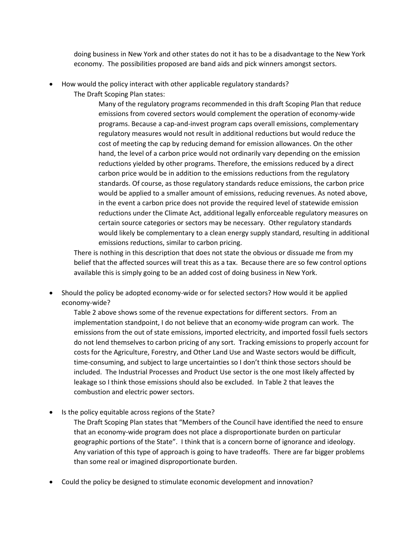doing business in New York and other states do not it has to be a disadvantage to the New York economy. The possibilities proposed are band aids and pick winners amongst sectors.

- How would the policy interact with other applicable regulatory standards?
	- The Draft Scoping Plan states:

Many of the regulatory programs recommended in this draft Scoping Plan that reduce emissions from covered sectors would complement the operation of economy-wide programs. Because a cap-and-invest program caps overall emissions, complementary regulatory measures would not result in additional reductions but would reduce the cost of meeting the cap by reducing demand for emission allowances. On the other hand, the level of a carbon price would not ordinarily vary depending on the emission reductions yielded by other programs. Therefore, the emissions reduced by a direct carbon price would be in addition to the emissions reductions from the regulatory standards. Of course, as those regulatory standards reduce emissions, the carbon price would be applied to a smaller amount of emissions, reducing revenues. As noted above, in the event a carbon price does not provide the required level of statewide emission reductions under the Climate Act, additional legally enforceable regulatory measures on certain source categories or sectors may be necessary. Other regulatory standards would likely be complementary to a clean energy supply standard, resulting in additional emissions reductions, similar to carbon pricing.

There is nothing in this description that does not state the obvious or dissuade me from my belief that the affected sources will treat this as a tax. Because there are so few control options available this is simply going to be an added cost of doing business in New York.

• Should the policy be adopted economy-wide or for selected sectors? How would it be applied economy-wide?

Table 2 above shows some of the revenue expectations for different sectors. From an implementation standpoint, I do not believe that an economy-wide program can work. The emissions from the out of state emissions, imported electricity, and imported fossil fuels sectors do not lend themselves to carbon pricing of any sort. Tracking emissions to properly account for costs for the Agriculture, Forestry, and Other Land Use and Waste sectors would be difficult, time-consuming, and subject to large uncertainties so I don't think those sectors should be included. The Industrial Processes and Product Use sector is the one most likely affected by leakage so I think those emissions should also be excluded. In Table 2 that leaves the combustion and electric power sectors.

• Is the policy equitable across regions of the State?

The Draft Scoping Plan states that "Members of the Council have identified the need to ensure that an economy-wide program does not place a disproportionate burden on particular geographic portions of the State". I think that is a concern borne of ignorance and ideology. Any variation of this type of approach is going to have tradeoffs. There are far bigger problems than some real or imagined disproportionate burden.

• Could the policy be designed to stimulate economic development and innovation?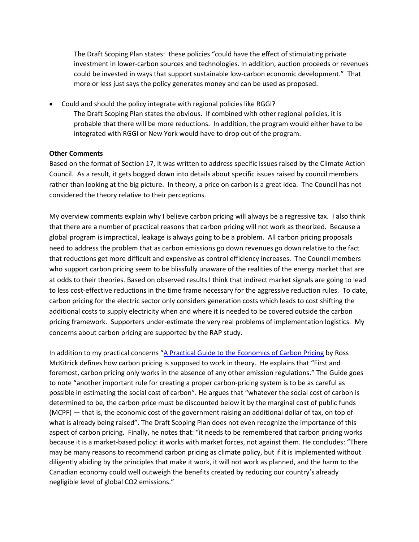The Draft Scoping Plan states: these policies "could have the effect of stimulating private investment in lower-carbon sources and technologies. In addition, auction proceeds or revenues could be invested in ways that support sustainable low-carbon economic development." That more or less just says the policy generates money and can be used as proposed.

• Could and should the policy integrate with regional policies like RGGI? The Draft Scoping Plan states the obvious. If combined with other regional policies, it is probable that there will be more reductions. In addition, the program would either have to be integrated with RGGI or New York would have to drop out of the program.

# **Other Comments**

Based on the format of Section 17, it was written to address specific issues raised by the Climate Action Council. As a result, it gets bogged down into details about specific issues raised by council members rather than looking at the big picture. In theory, a price on carbon is a great idea. The Council has not considered the theory relative to their perceptions.

My overview comments explain why I believe carbon pricing will always be a regressive tax. I also think that there are a number of practical reasons that carbon pricing will not work as theorized. Because a global program is impractical, leakage is always going to be a problem. All carbon pricing proposals need to address the problem that as carbon emissions go down revenues go down relative to the fact that reductions get more difficult and expensive as control efficiency increases. The Council members who support carbon pricing seem to be blissfully unaware of the realities of the energy market that are at odds to their theories. Based on observed results I think that indirect market signals are going to lead to less cost-effective reductions in the time frame necessary for the aggressive reduction rules. To date, carbon pricing for the electric sector only considers generation costs which leads to cost shifting the additional costs to supply electricity when and where it is needed to be covered outside the carbon pricing framework. Supporters under-estimate the very real problems of implementation logistics. My concerns about carbon pricing are supported by the RAP study.

In addition to my practical concerns "A Practical Guide to the [Economics of Carbon Pricing](https://www.policyschool.ca/wp-content/uploads/2016/09/Carbon-Pricing-McKitrickFINAL.pdf) by Ross McKitrick defines how carbon pricing is supposed to work in theory. He explains that "First and foremost, carbon pricing only works in the absence of any other emission regulations." The Guide goes to note "another important rule for creating a proper carbon-pricing system is to be as careful as possible in estimating the social cost of carbon". He argues that "whatever the social cost of carbon is determined to be, the carbon price must be discounted below it by the marginal cost of public funds (MCPF) — that is, the economic cost of the government raising an additional dollar of tax, on top of what is already being raised". The Draft Scoping Plan does not even recognize the importance of this aspect of carbon pricing. Finally, he notes that: "it needs to be remembered that carbon pricing works because it is a market-based policy: it works with market forces, not against them. He concludes: "There may be many reasons to recommend carbon pricing as climate policy, but if it is implemented without diligently abiding by the principles that make it work, it will not work as planned, and the harm to the Canadian economy could well outweigh the benefits created by reducing our country's already negligible level of global CO2 emissions."